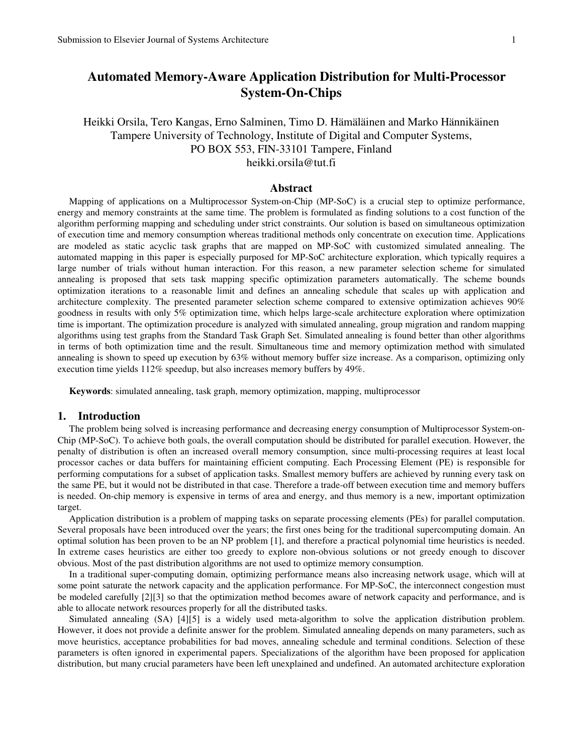# **Automated Memory-Aware Application Distribution for Multi-Processor System-On-Chips**

# Heikki Orsila, Tero Kangas, Erno Salminen, Timo D. Hämäläinen and Marko Hännikäinen Tampere University of Technology, Institute of Digital and Computer Systems, PO BOX 553, FIN-33101 Tampere, Finland heikki.orsila@tut.fi

# **Abstract**

Mapping of applications on a Multiprocessor System-on-Chip (MP-SoC) is a crucial step to optimize performance, energy and memory constraints at the same time. The problem is formulated as finding solutions to a cost function of the algorithm performing mapping and scheduling under strict constraints. Our solution is based on simultaneous optimization of execution time and memory consumption whereas traditional methods only concentrate on execution time. Applications are modeled as static acyclic task graphs that are mapped on MP-SoC with customized simulated annealing. The automated mapping in this paper is especially purposed for MP-SoC architecture exploration, which typically requires a large number of trials without human interaction. For this reason, a new parameter selection scheme for simulated annealing is proposed that sets task mapping specific optimization parameters automatically. The scheme bounds optimization iterations to a reasonable limit and defines an annealing schedule that scales up with application and architecture complexity. The presented parameter selection scheme compared to extensive optimization achieves 90% goodness in results with only 5% optimization time, which helps large-scale architecture exploration where optimization time is important. The optimization procedure is analyzed with simulated annealing, group migration and random mapping algorithms using test graphs from the Standard Task Graph Set. Simulated annealing is found better than other algorithms in terms of both optimization time and the result. Simultaneous time and memory optimization method with simulated annealing is shown to speed up execution by 63% without memory buffer size increase. As a comparison, optimizing only execution time yields 112% speedup, but also increases memory buffers by 49%.

**Keywords**: simulated annealing, task graph, memory optimization, mapping, multiprocessor

# **1. Introduction**

The problem being solved is increasing performance and decreasing energy consumption of Multiprocessor System-on-Chip (MP-SoC). To achieve both goals, the overall computation should be distributed for parallel execution. However, the penalty of distribution is often an increased overall memory consumption, since multi-processing requires at least local processor caches or data buffers for maintaining efficient computing. Each Processing Element (PE) is responsible for performing computations for a subset of application tasks. Smallest memory buffers are achieved by running every task on the same PE, but it would not be distributed in that case. Therefore a trade-off between execution time and memory buffers is needed. On-chip memory is expensive in terms of area and energy, and thus memory is a new, important optimization target.

Application distribution is a problem of mapping tasks on separate processing elements (PEs) for parallel computation. Several proposals have been introduced over the years; the first ones being for the traditional supercomputing domain. An optimal solution has been proven to be an NP problem [1], and therefore a practical polynomial time heuristics is needed. In extreme cases heuristics are either too greedy to explore non-obvious solutions or not greedy enough to discover obvious. Most of the past distribution algorithms are not used to optimize memory consumption.

In a traditional super-computing domain, optimizing performance means also increasing network usage, which will at some point saturate the network capacity and the application performance. For MP-SoC, the interconnect congestion must be modeled carefully [2][3] so that the optimization method becomes aware of network capacity and performance, and is able to allocate network resources properly for all the distributed tasks.

Simulated annealing (SA) [4][5] is a widely used meta-algorithm to solve the application distribution problem. However, it does not provide a definite answer for the problem. Simulated annealing depends on many parameters, such as move heuristics, acceptance probabilities for bad moves, annealing schedule and terminal conditions. Selection of these parameters is often ignored in experimental papers. Specializations of the algorithm have been proposed for application distribution, but many crucial parameters have been left unexplained and undefined. An automated architecture exploration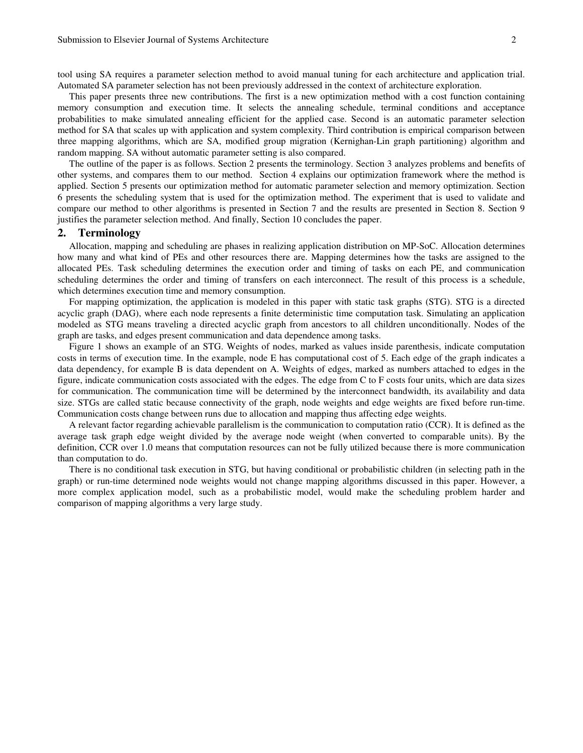tool using SA requires a parameter selection method to avoid manual tuning for each architecture and application trial. Automated SA parameter selection has not been previously addressed in the context of architecture exploration.

This paper presents three new contributions. The first is a new optimization method with a cost function containing memory consumption and execution time. It selects the annealing schedule, terminal conditions and acceptance probabilities to make simulated annealing efficient for the applied case. Second is an automatic parameter selection method for SA that scales up with application and system complexity. Third contribution is empirical comparison between three mapping algorithms, which are SA, modified group migration (Kernighan-Lin graph partitioning) algorithm and random mapping. SA without automatic parameter setting is also compared.

The outline of the paper is as follows. Section 2 presents the terminology. Section 3 analyzes problems and benefits of other systems, and compares them to our method. Section 4 explains our optimization framework where the method is applied. Section 5 presents our optimization method for automatic parameter selection and memory optimization. Section 6 presents the scheduling system that is used for the optimization method. The experiment that is used to validate and compare our method to other algorithms is presented in Section 7 and the results are presented in Section 8. Section 9 justifies the parameter selection method. And finally, Section 10 concludes the paper.

### **2. Terminology**

Allocation, mapping and scheduling are phases in realizing application distribution on MP-SoC. Allocation determines how many and what kind of PEs and other resources there are. Mapping determines how the tasks are assigned to the allocated PEs. Task scheduling determines the execution order and timing of tasks on each PE, and communication scheduling determines the order and timing of transfers on each interconnect. The result of this process is a schedule, which determines execution time and memory consumption.

For mapping optimization, the application is modeled in this paper with static task graphs (STG). STG is a directed acyclic graph (DAG), where each node represents a finite deterministic time computation task. Simulating an application modeled as STG means traveling a directed acyclic graph from ancestors to all children unconditionally. Nodes of the graph are tasks, and edges present communication and data dependence among tasks.

Figure 1 shows an example of an STG. Weights of nodes, marked as values inside parenthesis, indicate computation costs in terms of execution time. In the example, node E has computational cost of 5. Each edge of the graph indicates a data dependency, for example B is data dependent on A. Weights of edges, marked as numbers attached to edges in the figure, indicate communication costs associated with the edges. The edge from C to F costs four units, which are data sizes for communication. The communication time will be determined by the interconnect bandwidth, its availability and data size. STGs are called static because connectivity of the graph, node weights and edge weights are fixed before run-time. Communication costs change between runs due to allocation and mapping thus affecting edge weights.

A relevant factor regarding achievable parallelism is the communication to computation ratio (CCR). It is defined as the average task graph edge weight divided by the average node weight (when converted to comparable units). By the definition, CCR over 1.0 means that computation resources can not be fully utilized because there is more communication than computation to do.

There is no conditional task execution in STG, but having conditional or probabilistic children (in selecting path in the graph) or run-time determined node weights would not change mapping algorithms discussed in this paper. However, a more complex application model, such as a probabilistic model, would make the scheduling problem harder and comparison of mapping algorithms a very large study.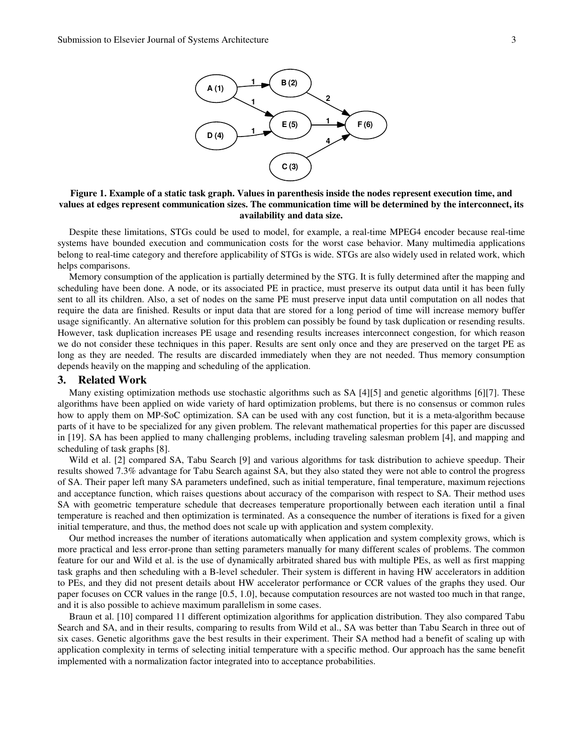

**Figure 1. Example of a static task graph. Values in parenthesis inside the nodes represent execution time, and values at edges represent communication sizes. The communication time will be determined by the interconnect, its availability and data size.** 

Despite these limitations, STGs could be used to model, for example, a real-time MPEG4 encoder because real-time systems have bounded execution and communication costs for the worst case behavior. Many multimedia applications belong to real-time category and therefore applicability of STGs is wide. STGs are also widely used in related work, which helps comparisons.

Memory consumption of the application is partially determined by the STG. It is fully determined after the mapping and scheduling have been done. A node, or its associated PE in practice, must preserve its output data until it has been fully sent to all its children. Also, a set of nodes on the same PE must preserve input data until computation on all nodes that require the data are finished. Results or input data that are stored for a long period of time will increase memory buffer usage significantly. An alternative solution for this problem can possibly be found by task duplication or resending results. However, task duplication increases PE usage and resending results increases interconnect congestion, for which reason we do not consider these techniques in this paper. Results are sent only once and they are preserved on the target PE as long as they are needed. The results are discarded immediately when they are not needed. Thus memory consumption depends heavily on the mapping and scheduling of the application.

### **3. Related Work**

Many existing optimization methods use stochastic algorithms such as SA [4][5] and genetic algorithms [6][7]. These algorithms have been applied on wide variety of hard optimization problems, but there is no consensus or common rules how to apply them on MP-SoC optimization. SA can be used with any cost function, but it is a meta-algorithm because parts of it have to be specialized for any given problem. The relevant mathematical properties for this paper are discussed in [19]. SA has been applied to many challenging problems, including traveling salesman problem [4], and mapping and scheduling of task graphs [8].

Wild et al. [2] compared SA, Tabu Search [9] and various algorithms for task distribution to achieve speedup. Their results showed 7.3% advantage for Tabu Search against SA, but they also stated they were not able to control the progress of SA. Their paper left many SA parameters undefined, such as initial temperature, final temperature, maximum rejections and acceptance function, which raises questions about accuracy of the comparison with respect to SA. Their method uses SA with geometric temperature schedule that decreases temperature proportionally between each iteration until a final temperature is reached and then optimization is terminated. As a consequence the number of iterations is fixed for a given initial temperature, and thus, the method does not scale up with application and system complexity.

Our method increases the number of iterations automatically when application and system complexity grows, which is more practical and less error-prone than setting parameters manually for many different scales of problems. The common feature for our and Wild et al. is the use of dynamically arbitrated shared bus with multiple PEs, as well as first mapping task graphs and then scheduling with a B-level scheduler. Their system is different in having HW accelerators in addition to PEs, and they did not present details about HW accelerator performance or CCR values of the graphs they used. Our paper focuses on CCR values in the range [0.5, 1.0], because computation resources are not wasted too much in that range, and it is also possible to achieve maximum parallelism in some cases.

Braun et al. [10] compared 11 different optimization algorithms for application distribution. They also compared Tabu Search and SA, and in their results, comparing to results from Wild et al., SA was better than Tabu Search in three out of six cases. Genetic algorithms gave the best results in their experiment. Their SA method had a benefit of scaling up with application complexity in terms of selecting initial temperature with a specific method. Our approach has the same benefit implemented with a normalization factor integrated into to acceptance probabilities.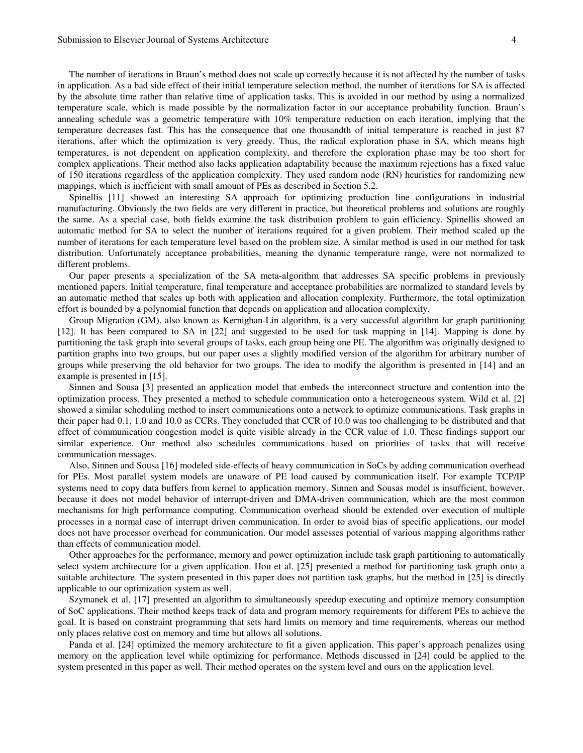The number of iterations in Braun's method does not scale up correctly because it is not affected by the number of tasks in application. As a bad side effect of their initial temperature selection method, the number of iterations for SA is affected by the absolute time rather than relative time of application tasks. This is avoided in our method by using a normalized temperature scale, which is made possible by the normalization factor in our acceptance probability function. Braun's annealing schedule was a geometric temperature with 10% temperature reduction on each iteration, implying that the temperature decreases fast. This has the consequence that one thousandth of initial temperature is reached in just 87 iterations, after which the optimization is very greedy. Thus, the radical exploration phase in SA, which means high temperatures, is not dependent on application complexity, and therefore the exploration phase may be too short for complex applications. Their method also lacks application adaptability because the maximum rejections has a fixed value of 150 iterations regardless of the application complexity. They used random node (RN) heuristics for randomizing new mappings, which is inefficient with small amount of PEs as described in Section 5.2.

Spinellis [11] showed an interesting SA approach for optimizing production line configurations in industrial manufacturing. Obviously the two fields are very different in practice, but theoretical problems and solutions are roughly the same. As a special case, both fields examine the task distribution problem to gain efficiency. Spinellis showed an automatic method for SA to select the number of iterations required for a given problem. Their method scaled up the number of iterations for each temperature level based on the problem size. A similar method is used in our method for task distribution. Unfortunately acceptance probabilities, meaning the dynamic temperature range, were not normalized to different problems.

Our paper presents a specialization of the SA meta-algorithm that addresses SA specific problems in previously mentioned papers. Initial temperature, final temperature and acceptance probabilities are normalized to standard levels by an automatic method that scales up both with application and allocation complexity. Furthermore, the total optimization effort is bounded by a polynomial function that depends on application and allocation complexity.

Group Migration (GM), also known as Kernighan-Lin algorithm, is a very successful algorithm for graph partitioning [12]. It has been compared to SA in [22] and suggested to be used for task mapping in [14]. Mapping is done by partitioning the task graph into several groups of tasks, each group being one PE. The algorithm was originally designed to partition graphs into two groups, but our paper uses a slightly modified version of the algorithm for arbitrary number of groups while preserving the old behavior for two groups. The idea to modify the algorithm is presented in [14] and an example is presented in [15].

Sinnen and Sousa [3] presented an application model that embeds the interconnect structure and contention into the optimization process. They presented a method to schedule communication onto a heterogeneous system. Wild et al. [2] showed a similar scheduling method to insert communications onto a network to optimize communications. Task graphs in their paper had 0.1, 1.0 and 10.0 as CCRs. They concluded that CCR of 10.0 was too challenging to be distributed and that effect of communication congestion model is quite visible already in the CCR value of 1.0. These findings support our similar experience. Our method also schedules communications based on priorities of tasks that will receive communication messages.

Also, Sinnen and Sousa [16] modeled side-effects of heavy communication in SoCs by adding communication overhead for PEs. Most parallel system models are unaware of PE load caused by communication itself. For example TCP/IP systems need to copy data buffers from kernel to application memory. Sinnen and Sousas model is insufficient, however, because it does not model behavior of interrupt-driven and DMA-driven communication, which are the most common mechanisms for high performance computing. Communication overhead should be extended over execution of multiple processes in a normal case of interrupt driven communication. In order to avoid bias of specific applications, our model does not have processor overhead for communication. Our model assesses potential of various mapping algorithms rather than effects of communication model.

Other approaches for the performance, memory and power optimization include task graph partitioning to automatically select system architecture for a given application. Hou et al. [25] presented a method for partitioning task graph onto a suitable architecture. The system presented in this paper does not partition task graphs, but the method in [25] is directly applicable to our optimization system as well.

Szymanek et al. [17] presented an algorithm to simultaneously speedup executing and optimize memory consumption of SoC applications. Their method keeps track of data and program memory requirements for different PEs to achieve the goal. It is based on constraint programming that sets hard limits on memory and time requirements, whereas our method only places relative cost on memory and time but allows all solutions.

Panda et al. [24] optimized the memory architecture to fit a given application. This paper's approach penalizes using memory on the application level while optimizing for performance. Methods discussed in [24] could be applied to the system presented in this paper as well. Their method operates on the system level and ours on the application level.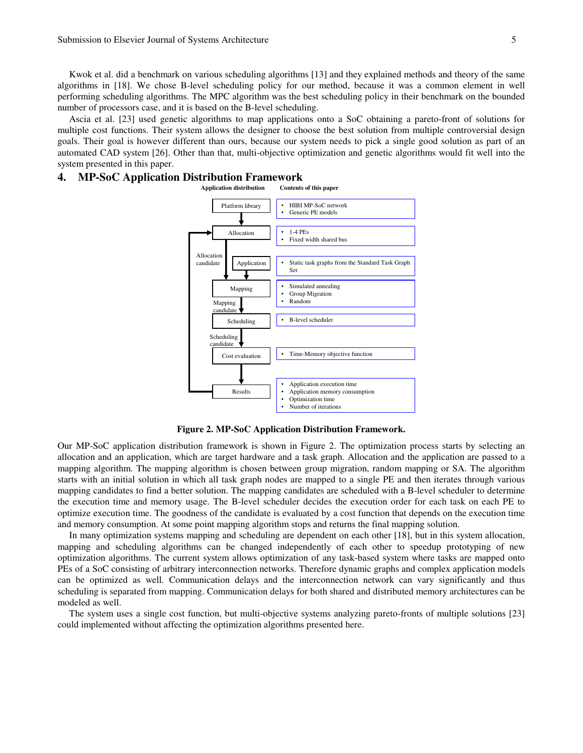Kwok et al. did a benchmark on various scheduling algorithms [13] and they explained methods and theory of the same algorithms in [18]. We chose B-level scheduling policy for our method, because it was a common element in well performing scheduling algorithms. The MPC algorithm was the best scheduling policy in their benchmark on the bounded number of processors case, and it is based on the B-level scheduling.

Ascia et al. [23] used genetic algorithms to map applications onto a SoC obtaining a pareto-front of solutions for multiple cost functions. Their system allows the designer to choose the best solution from multiple controversial design goals. Their goal is however different than ours, because our system needs to pick a single good solution as part of an automated CAD system [26]. Other than that, multi-objective optimization and genetic algorithms would fit well into the system presented in this paper.

# **4. MP-SoC Application Distribution Framework**



**Figure 2. MP-SoC Application Distribution Framework.** 

Our MP-SoC application distribution framework is shown in Figure 2. The optimization process starts by selecting an allocation and an application, which are target hardware and a task graph. Allocation and the application are passed to a mapping algorithm. The mapping algorithm is chosen between group migration, random mapping or SA. The algorithm starts with an initial solution in which all task graph nodes are mapped to a single PE and then iterates through various mapping candidates to find a better solution. The mapping candidates are scheduled with a B-level scheduler to determine the execution time and memory usage. The B-level scheduler decides the execution order for each task on each PE to optimize execution time. The goodness of the candidate is evaluated by a cost function that depends on the execution time and memory consumption. At some point mapping algorithm stops and returns the final mapping solution.

In many optimization systems mapping and scheduling are dependent on each other [18], but in this system allocation, mapping and scheduling algorithms can be changed independently of each other to speedup prototyping of new optimization algorithms. The current system allows optimization of any task-based system where tasks are mapped onto PEs of a SoC consisting of arbitrary interconnection networks. Therefore dynamic graphs and complex application models can be optimized as well. Communication delays and the interconnection network can vary significantly and thus scheduling is separated from mapping. Communication delays for both shared and distributed memory architectures can be modeled as well.

The system uses a single cost function, but multi-objective systems analyzing pareto-fronts of multiple solutions [23] could implemented without affecting the optimization algorithms presented here.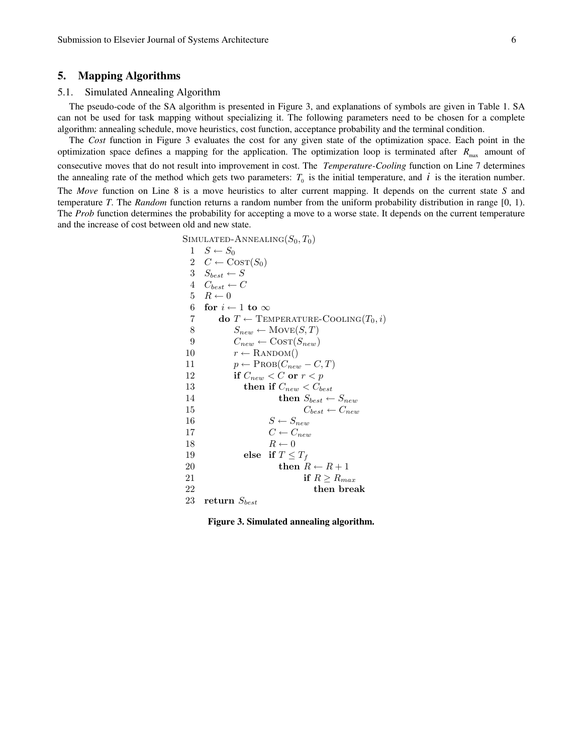# **5. Mapping Algorithms**

# 5.1. Simulated Annealing Algorithm

The pseudo-code of the SA algorithm is presented in Figure 3, and explanations of symbols are given in Table 1. SA can not be used for task mapping without specializing it. The following parameters need to be chosen for a complete algorithm: annealing schedule, move heuristics, cost function, acceptance probability and the terminal condition.

The *Cost* function in Figure 3 evaluates the cost for any given state of the optimization space. Each point in the optimization space defines a mapping for the application. The optimization loop is terminated after  $R_{\text{max}}$  amount of consecutive moves that do not result into improvement in cost. The *Temperature-Cooling* function on Line 7 determines the annealing rate of the method which gets two parameters:  $T_0$  is the initial temperature, and  $i$  is the iteration number. The *Move* function on Line 8 is a move heuristics to alter current mapping. It depends on the current state *S* and temperature *T*. The *Random* function returns a random number from the uniform probability distribution in range [0, 1). The *Prob* function determines the probability for accepting a move to a worse state. It depends on the current temperature and the increase of cost between old and new state.

```
SIMULATED-ANNEALING(S_0, T_0)1 \quad S \leftarrow S_02 C \leftarrow \text{Cosr}(S_0)3 S_{best} \leftarrow S4 C_{best} \leftarrow C5 R \leftarrow 06 for i \leftarrow 1 to \infty7 do T \leftarrow TEMPERATURE-COOLING(T_0, i)
 8 S_{new} \leftarrow \text{Move}(S, T)9 C_{new} \leftarrow \text{COST}(S_{new})<br>10 r \leftarrow \text{RANDOM}()r \leftarrow RANDOM()
11 p \leftarrow \text{PROB}(C_{new} - C, T)12 if C_{new} < C or r < p13 then if C_{new} < C_{best}14 then S_{best} \leftarrow S_{new}15 C_{best} \leftarrow C_{new}16 S \leftarrow S_{new}17 C \leftarrow C_{new}18 R \leftarrow 019 else if T \leq T_f20 then R \leftarrow R + 121 if R \ge R_{max}22 then break
23 return S_{best}
```
**Figure 3. Simulated annealing algorithm.**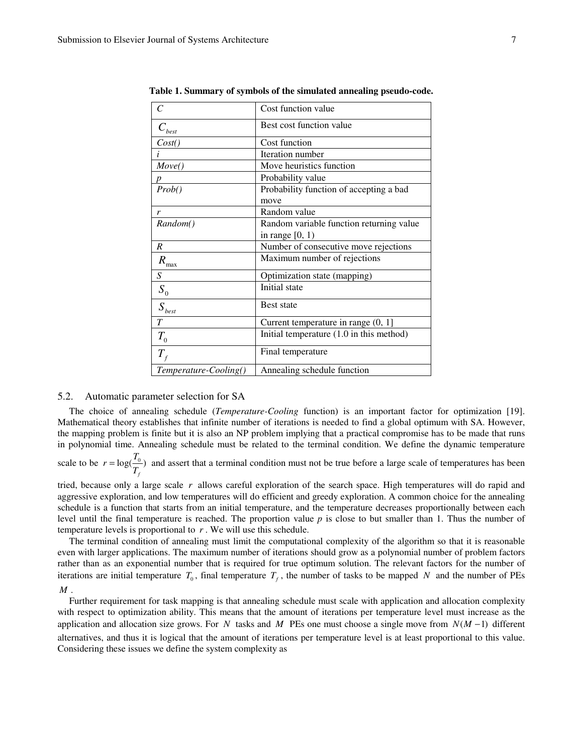| C                                | Cost function value                      |
|----------------------------------|------------------------------------------|
| $C_{\text{best}}$                | Best cost function value                 |
| Cost()                           | Cost function                            |
| i                                | Iteration number                         |
| Move()                           | Move heuristics function                 |
|                                  | Probability value                        |
| Prob()                           | Probability function of accepting a bad  |
|                                  | move                                     |
| r                                | Random value                             |
| Random()                         | Random variable function returning value |
|                                  | in range $[0, 1)$                        |
| R                                | Number of consecutive move rejections    |
| $R_{\rm max}$                    | Maximum number of rejections             |
| S                                | Optimization state (mapping)             |
| $S_{0}$                          | Initial state                            |
| $\boldsymbol{S}_{\textit{best}}$ | <b>Best state</b>                        |
| $\overline{T}$                   | Current temperature in range $(0, 1]$    |
| $T_{\rm 0}$                      | Initial temperature (1.0 in this method) |
| $T_{\rm f}$                      | Final temperature                        |
| Temperature-Cooling()            | Annealing schedule function              |

**Table 1. Summary of symbols of the simulated annealing pseudo-code.** 

# 5.2. Automatic parameter selection for SA

The choice of annealing schedule (*Temperature-Cooling* function) is an important factor for optimization [19]. Mathematical theory establishes that infinite number of iterations is needed to find a global optimum with SA. However, the mapping problem is finite but it is also an NP problem implying that a practical compromise has to be made that runs in polynomial time. Annealing schedule must be related to the terminal condition. We define the dynamic temperature

scale to be  $r = \log(\frac{r_0}{r})$ *f*  $r = \log(\frac{T_0}{T_f})$  and assert that a terminal condition must not be true before a large scale of temperatures has been

tried, because only a large scale *r* allows careful exploration of the search space. High temperatures will do rapid and aggressive exploration, and low temperatures will do efficient and greedy exploration. A common choice for the annealing schedule is a function that starts from an initial temperature, and the temperature decreases proportionally between each level until the final temperature is reached. The proportion value *p* is close to but smaller than 1. Thus the number of temperature levels is proportional to *r* . We will use this schedule.

The terminal condition of annealing must limit the computational complexity of the algorithm so that it is reasonable even with larger applications. The maximum number of iterations should grow as a polynomial number of problem factors rather than as an exponential number that is required for true optimum solution. The relevant factors for the number of iterations are initial temperature  $T_0$ , final temperature  $T_f$ , the number of tasks to be mapped N and the number of PEs *M* .

Further requirement for task mapping is that annealing schedule must scale with application and allocation complexity with respect to optimization ability. This means that the amount of iterations per temperature level must increase as the application and allocation size grows. For *N* tasks and *M* PEs one must choose a single move from  $N(M-1)$  different alternatives, and thus it is logical that the amount of iterations per temperature level is at least proportional to this value. Considering these issues we define the system complexity as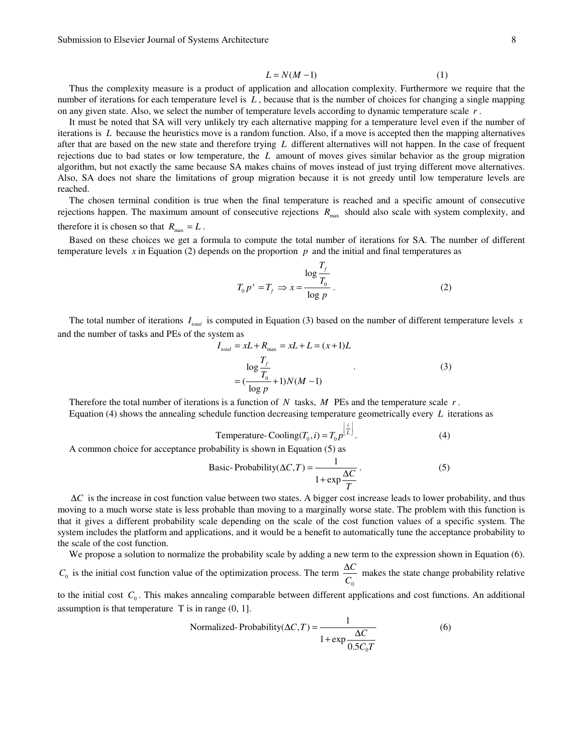$$
L = N(M - 1) \tag{1}
$$

Thus the complexity measure is a product of application and allocation complexity. Furthermore we require that the number of iterations for each temperature level is *L* , because that is the number of choices for changing a single mapping on any given state. Also, we select the number of temperature levels according to dynamic temperature scale *r* .

It must be noted that SA will very unlikely try each alternative mapping for a temperature level even if the number of iterations is *L* because the heuristics move is a random function. Also, if a move is accepted then the mapping alternatives after that are based on the new state and therefore trying *L* different alternatives will not happen. In the case of frequent rejections due to bad states or low temperature, the *L* amount of moves gives similar behavior as the group migration algorithm, but not exactly the same because SA makes chains of moves instead of just trying different move alternatives. Also, SA does not share the limitations of group migration because it is not greedy until low temperature levels are reached.

The chosen terminal condition is true when the final temperature is reached and a specific amount of consecutive rejections happen. The maximum amount of consecutive rejections  $R_{\text{max}}$  should also scale with system complexity, and therefore it is chosen so that  $R_{\text{max}} = L$ .

Based on these choices we get a formula to compute the total number of iterations for SA. The number of different temperature levels *x* in Equation (2) depends on the proportion *p* and the initial and final temperatures as

$$
T_0 p^x = T_f \Rightarrow x = \frac{\log \frac{T_f}{T_0}}{\log p}.
$$
 (2)

The total number of iterations  $I_{total}$  is computed in Equation (3) based on the number of different temperature levels *x* and the number of tasks and PEs of the system as

$$
I_{total} = xL + R_{\text{max}} = xL + L = (x + 1)L
$$
  

$$
\log \frac{T_f}{T_0} + \log (M - 1)
$$
 (3)  

$$
= (\frac{1}{\log p} + 1)N(M - 1)
$$

Therefore the total number of iterations is a function of *N* tasks, *M* PEs and the temperature scale *r* . Equation (4) shows the annealing schedule function decreasing temperature geometrically every *L* iterations as

Temperature-
$$
\text{Temperature-}(\mathbf{I}_0, i) = T_0 p^{\left\lfloor \frac{i}{L} \right\rfloor}.
$$
 (4)

A common choice for acceptance probability is shown in Equation (5) as

Basic-Probability(
$$
\Delta C, T
$$
) =  $\frac{1}{1 + \exp \frac{\Delta C}{T}}$ . (5)

∆*C* is the increase in cost function value between two states. A bigger cost increase leads to lower probability, and thus moving to a much worse state is less probable than moving to a marginally worse state. The problem with this function is that it gives a different probability scale depending on the scale of the cost function values of a specific system. The system includes the platform and applications, and it would be a benefit to automatically tune the acceptance probability to the scale of the cost function.

We propose a solution to normalize the probability scale by adding a new term to the expression shown in Equation (6).

 $C_0$  is the initial cost function value of the optimization process. The term 0 *C C* ∆ makes the state change probability relative

to the initial cost  $C_0$ . This makes annealing comparable between different applications and cost functions. An additional assumption is that temperature  $T$  is in range  $(0, 1]$ .

$$
Normalized-Probability(\Delta C, T) = \frac{1}{1 + \exp{\frac{\Delta C}{0.5C_0 T}}}
$$
\n(6)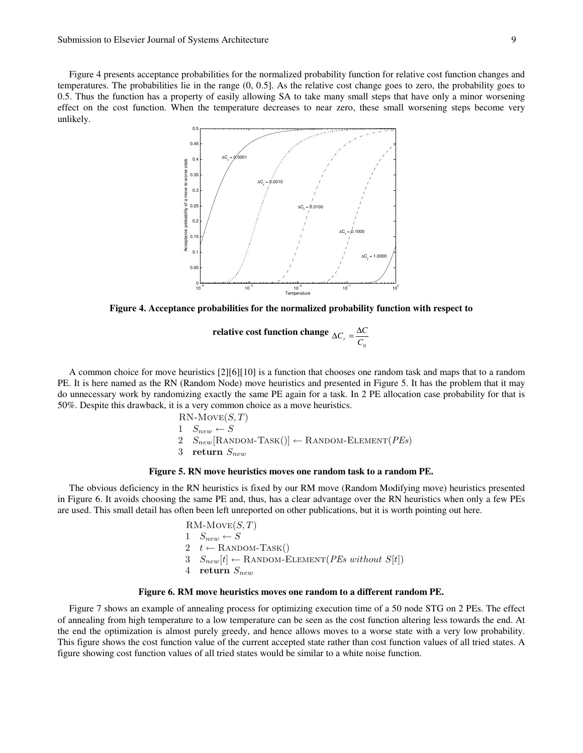Figure 4 presents acceptance probabilities for the normalized probability function for relative cost function changes and temperatures. The probabilities lie in the range (0, 0.5]. As the relative cost change goes to zero, the probability goes to 0.5. Thus the function has a property of easily allowing SA to take many small steps that have only a minor worsening effect on the cost function. When the temperature decreases to near zero, these small worsening steps become very unlikely.



**Figure 4. Acceptance probabilities for the normalized probability function with respect to** 

**relative cost function change**  $C^{\,}_{0}$  $\Delta C_r = \frac{\Delta C}{C}$ 

A common choice for move heuristics [2][6][10] is a function that chooses one random task and maps that to a random PE. It is here named as the RN (Random Node) move heuristics and presented in Figure 5. It has the problem that it may do unnecessary work by randomizing exactly the same PE again for a task. In 2 PE allocation case probability for that is 50%. Despite this drawback, it is a very common choice as a move heuristics.

$$
RN-Move(S, T)
$$
  
1  $S_{new} \leftarrow S$   
2  $S_{new}$ [RANDOM-TASK()]  $\leftarrow$  RANDOM-ELEMENT(*PEs*)  
3 return  $S_{new}$ 

# **Figure 5. RN move heuristics moves one random task to a random PE.**

The obvious deficiency in the RN heuristics is fixed by our RM move (Random Modifying move) heuristics presented in Figure 6. It avoids choosing the same PE and, thus, has a clear advantage over the RN heuristics when only a few PEs are used. This small detail has often been left unreported on other publications, but it is worth pointing out here.

$$
RM\text{-}Move(S, T)
$$
\n
$$
1 \quad S_{new} \leftarrow S
$$
\n
$$
2 \quad t \leftarrow \text{Random-Task}()
$$
\n
$$
3 \quad S_{new}[t] \leftarrow \text{Random-Element}(PEs without S[t])
$$
\n
$$
4 \quad \text{return } S_{new}
$$

#### **Figure 6. RM move heuristics moves one random to a different random PE.**

Figure 7 shows an example of annealing process for optimizing execution time of a 50 node STG on 2 PEs. The effect of annealing from high temperature to a low temperature can be seen as the cost function altering less towards the end. At the end the optimization is almost purely greedy, and hence allows moves to a worse state with a very low probability. This figure shows the cost function value of the current accepted state rather than cost function values of all tried states. A figure showing cost function values of all tried states would be similar to a white noise function.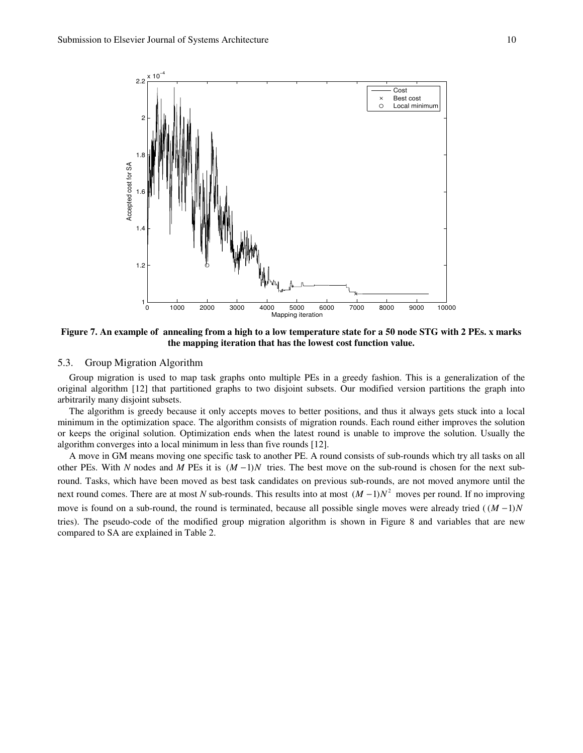

**Figure 7. An example of annealing from a high to a low temperature state for a 50 node STG with 2 PEs. x marks the mapping iteration that has the lowest cost function value.** 

# 5.3. Group Migration Algorithm

Group migration is used to map task graphs onto multiple PEs in a greedy fashion. This is a generalization of the original algorithm [12] that partitioned graphs to two disjoint subsets. Our modified version partitions the graph into arbitrarily many disjoint subsets.

The algorithm is greedy because it only accepts moves to better positions, and thus it always gets stuck into a local minimum in the optimization space. The algorithm consists of migration rounds. Each round either improves the solution or keeps the original solution. Optimization ends when the latest round is unable to improve the solution. Usually the algorithm converges into a local minimum in less than five rounds [12].

A move in GM means moving one specific task to another PE. A round consists of sub-rounds which try all tasks on all other PEs. With *N* nodes and *M* PEs it is  $(M-1)N$  tries. The best move on the sub-round is chosen for the next subround. Tasks, which have been moved as best task candidates on previous sub-rounds, are not moved anymore until the next round comes. There are at most *N* sub-rounds. This results into at most  $(M-1)N^2$  moves per round. If no improving move is found on a sub-round, the round is terminated, because all possible single moves were already tried  $((M-1)N)$ tries). The pseudo-code of the modified group migration algorithm is shown in Figure 8 and variables that are new compared to SA are explained in Table 2.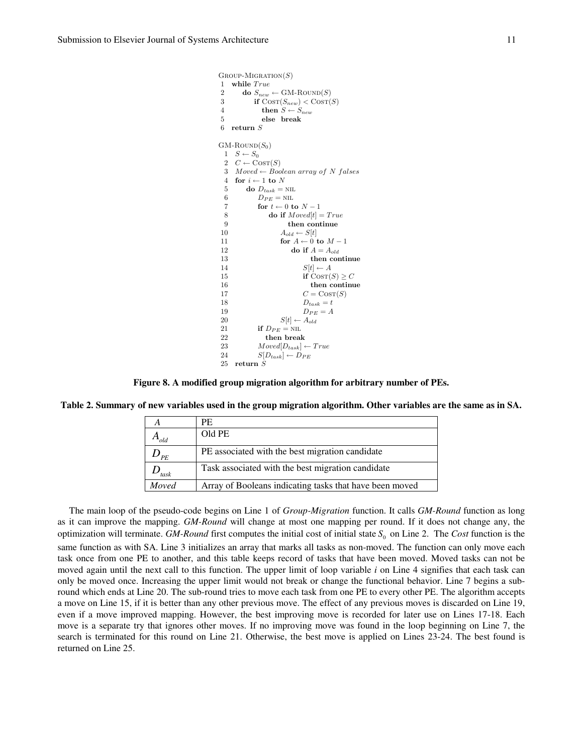```
GROUP-MIGRATION(S)1 while True<br>2 do S_{new}do S_{new} \leftarrow \text{GM-ROUND}(S)3 if \text{Cosr}(S_{new}) < \text{Cosr}(S)<br>4 then S \leftarrow S_{new}then S \leftarrow S_{new}5 else break
6 return S
GM-ROUND(S_0)1 \quad S \leftarrow S_02 C \leftarrow \text{COST}(S)3 Moved \leftarrow Boolean array of N falses
  4 for i \leftarrow 1 to N
  5 do D_{task} = \text{NIL}6 D_{PE} = \text{NIL}7 for t \leftarrow 0 to N-18 do if Moved[t] = True9 then continue
10 A_{old} \leftarrow S[t]<br>11 for A \leftarrow 0for A \leftarrow 0 to M - 112 do if A = A_{old}13 then continue
 14 S[t] \leftarrow A<br>15 if Cost(
                           if \text{Cosy}(S) > C16 then continue
17 C = \text{Cosr}(S)18 D_{task} = t19 D_{PE} = A20 S[t] \leftarrow A_{old}<br>21 if D_{PE} = \text{NIL}if D_{PE} = \text{NIL}22 then break<br>
23 Moved[D_{task}]23 Model[D_{task}] \leftarrow True<br>
24 S[D_{task}] \leftarrow D_{PE}S[D_{task}] \leftarrow D_{PE}25 return S
```
**Figure 8. A modified group migration algorithm for arbitrary number of PEs.** 

|  |  | Table 2. Summary of new variables used in the group migration algorithm. Other variables are the same as in SA. |  |
|--|--|-----------------------------------------------------------------------------------------------------------------|--|
|  |  |                                                                                                                 |  |

|                    | PF.                                                     |
|--------------------|---------------------------------------------------------|
| $\mathbf{L}_{old}$ | Old PE                                                  |
| PF                 | PE associated with the best migration candidate         |
| task               | Task associated with the best migration candidate       |
| Moved              | Array of Booleans indicating tasks that have been moved |

The main loop of the pseudo-code begins on Line 1 of *Group-Migration* function. It calls *GM-Round* function as long as it can improve the mapping. *GM-Round* will change at most one mapping per round. If it does not change any, the optimization will terminate. *GM-Round* first computes the initial cost of initial state  $S_0$  on Line 2. The *Cost* function is the same function as with SA. Line 3 initializes an array that marks all tasks as non-moved. The function can only move each task once from one PE to another, and this table keeps record of tasks that have been moved. Moved tasks can not be moved again until the next call to this function. The upper limit of loop variable *i* on Line 4 signifies that each task can only be moved once. Increasing the upper limit would not break or change the functional behavior. Line 7 begins a subround which ends at Line 20. The sub-round tries to move each task from one PE to every other PE. The algorithm accepts a move on Line 15, if it is better than any other previous move. The effect of any previous moves is discarded on Line 19, even if a move improved mapping. However, the best improving move is recorded for later use on Lines 17-18. Each move is a separate try that ignores other moves. If no improving move was found in the loop beginning on Line 7, the search is terminated for this round on Line 21. Otherwise, the best move is applied on Lines 23-24. The best found is returned on Line 25.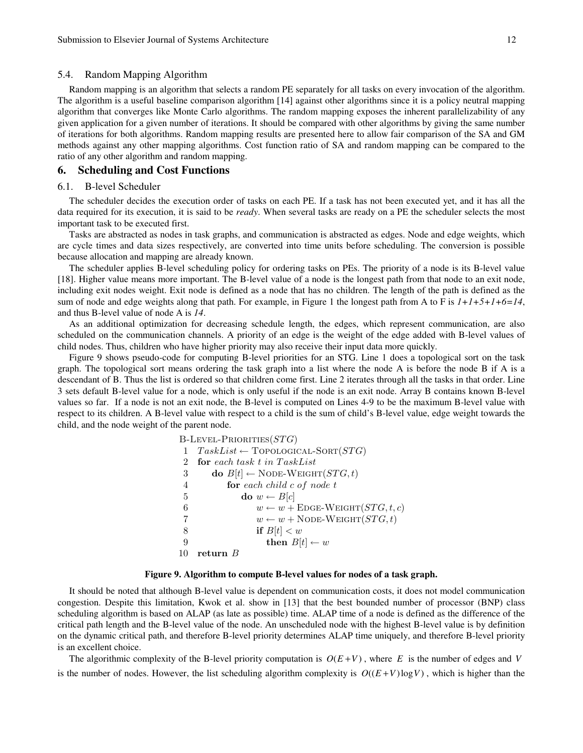### 5.4. Random Mapping Algorithm

Random mapping is an algorithm that selects a random PE separately for all tasks on every invocation of the algorithm. The algorithm is a useful baseline comparison algorithm [14] against other algorithms since it is a policy neutral mapping algorithm that converges like Monte Carlo algorithms. The random mapping exposes the inherent parallelizability of any given application for a given number of iterations. It should be compared with other algorithms by giving the same number of iterations for both algorithms. Random mapping results are presented here to allow fair comparison of the SA and GM methods against any other mapping algorithms. Cost function ratio of SA and random mapping can be compared to the ratio of any other algorithm and random mapping.

# **6. Scheduling and Cost Functions**

### 6.1. B-level Scheduler

The scheduler decides the execution order of tasks on each PE. If a task has not been executed yet, and it has all the data required for its execution, it is said to be *ready*. When several tasks are ready on a PE the scheduler selects the most important task to be executed first.

Tasks are abstracted as nodes in task graphs, and communication is abstracted as edges. Node and edge weights, which are cycle times and data sizes respectively, are converted into time units before scheduling. The conversion is possible because allocation and mapping are already known.

The scheduler applies B-level scheduling policy for ordering tasks on PEs. The priority of a node is its B-level value [18]. Higher value means more important. The B-level value of a node is the longest path from that node to an exit node, including exit nodes weight. Exit node is defined as a node that has no children. The length of the path is defined as the sum of node and edge weights along that path. For example, in Figure 1 the longest path from A to F is  $1+1+5+1+6=14$ , and thus B-level value of node A is *14*.

As an additional optimization for decreasing schedule length, the edges, which represent communication, are also scheduled on the communication channels. A priority of an edge is the weight of the edge added with B-level values of child nodes. Thus, children who have higher priority may also receive their input data more quickly.

Figure 9 shows pseudo-code for computing B-level priorities for an STG. Line 1 does a topological sort on the task graph. The topological sort means ordering the task graph into a list where the node A is before the node B if A is a descendant of B. Thus the list is ordered so that children come first. Line 2 iterates through all the tasks in that order. Line 3 sets default B-level value for a node, which is only useful if the node is an exit node. Array B contains known B-level values so far. If a node is not an exit node, the B-level is computed on Lines 4-9 to be the maximum B-level value with respect to its children. A B-level value with respect to a child is the sum of child's B-level value, edge weight towards the child, and the node weight of the parent node.

|   | $B$ -LEVEL-PRIORITIES $(STG)$                                     |
|---|-------------------------------------------------------------------|
| 1 | $TaskList \leftarrow \text{Topo}$ LOGICAL-SORT $(STG)$            |
|   | for each task t in TaskList                                       |
| 3 | do $B[t] \leftarrow \text{Node-WEIGHT}(STG, t)$                   |
| 4 | for each child $c$ of node $t$                                    |
| 5 | $\mathbf{do} \ w \leftarrow B[c]$                                 |
| 6 | $w \leftarrow w + \text{E}_{\text{DGE}-\text{WEIGHT}}(STG, t, c)$ |
| 7 | $w \leftarrow w + \text{Node-WEIGHT}(STG, t)$                     |
| 8 | if $B[t] < w$                                                     |
| 9 | then $B[t] \leftarrow w$                                          |
|   | return $B$                                                        |

### **Figure 9. Algorithm to compute B-level values for nodes of a task graph.**

It should be noted that although B-level value is dependent on communication costs, it does not model communication congestion. Despite this limitation, Kwok et al. show in [13] that the best bounded number of processor (BNP) class scheduling algorithm is based on ALAP (as late as possible) time. ALAP time of a node is defined as the difference of the critical path length and the B-level value of the node. An unscheduled node with the highest B-level value is by definition on the dynamic critical path, and therefore B-level priority determines ALAP time uniquely, and therefore B-level priority is an excellent choice.

The algorithmic complexity of the B-level priority computation is  $O(E+V)$ , where *E* is the number of edges and *V* is the number of nodes. However, the list scheduling algorithm complexity is  $O((E+V) \log V)$ , which is higher than the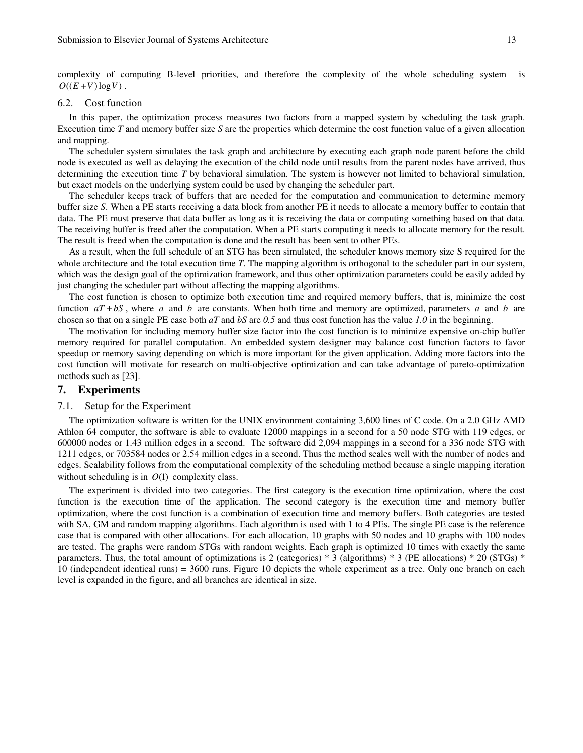complexity of computing B-level priorities, and therefore the complexity of the whole scheduling system is  $O((E+V)\log V)$ .

### 6.2. Cost function

In this paper, the optimization process measures two factors from a mapped system by scheduling the task graph. Execution time *T* and memory buffer size *S* are the properties which determine the cost function value of a given allocation and mapping.

The scheduler system simulates the task graph and architecture by executing each graph node parent before the child node is executed as well as delaying the execution of the child node until results from the parent nodes have arrived, thus determining the execution time *T* by behavioral simulation. The system is however not limited to behavioral simulation, but exact models on the underlying system could be used by changing the scheduler part.

The scheduler keeps track of buffers that are needed for the computation and communication to determine memory buffer size *S*. When a PE starts receiving a data block from another PE it needs to allocate a memory buffer to contain that data. The PE must preserve that data buffer as long as it is receiving the data or computing something based on that data. The receiving buffer is freed after the computation. When a PE starts computing it needs to allocate memory for the result. The result is freed when the computation is done and the result has been sent to other PEs.

As a result, when the full schedule of an STG has been simulated, the scheduler knows memory size S required for the whole architecture and the total execution time *T*. The mapping algorithm is orthogonal to the scheduler part in our system, which was the design goal of the optimization framework, and thus other optimization parameters could be easily added by just changing the scheduler part without affecting the mapping algorithms.

The cost function is chosen to optimize both execution time and required memory buffers, that is, minimize the cost function  $aT + bS$ , where *a* and *b* are constants. When both time and memory are optimized, parameters *a* and *b* are chosen so that on a single PE case both *aT* and *bS* are *0.5* and thus cost function has the value *1.0* in the beginning.

The motivation for including memory buffer size factor into the cost function is to minimize expensive on-chip buffer memory required for parallel computation. An embedded system designer may balance cost function factors to favor speedup or memory saving depending on which is more important for the given application. Adding more factors into the cost function will motivate for research on multi-objective optimization and can take advantage of pareto-optimization methods such as [23].

# **7. Experiments**

### 7.1. Setup for the Experiment

The optimization software is written for the UNIX environment containing 3,600 lines of C code. On a 2.0 GHz AMD Athlon 64 computer, the software is able to evaluate 12000 mappings in a second for a 50 node STG with 119 edges, or 600000 nodes or 1.43 million edges in a second. The software did 2,094 mappings in a second for a 336 node STG with 1211 edges, or 703584 nodes or 2.54 million edges in a second. Thus the method scales well with the number of nodes and edges. Scalability follows from the computational complexity of the scheduling method because a single mapping iteration without scheduling is in  $O(1)$  complexity class.

The experiment is divided into two categories. The first category is the execution time optimization, where the cost function is the execution time of the application. The second category is the execution time and memory buffer optimization, where the cost function is a combination of execution time and memory buffers. Both categories are tested with SA, GM and random mapping algorithms. Each algorithm is used with 1 to 4 PEs. The single PE case is the reference case that is compared with other allocations. For each allocation, 10 graphs with 50 nodes and 10 graphs with 100 nodes are tested. The graphs were random STGs with random weights. Each graph is optimized 10 times with exactly the same parameters. Thus, the total amount of optimizations is 2 (categories) \* 3 (algorithms) \* 3 (PE allocations) \* 20 (STGs) \* 10 (independent identical runs) = 3600 runs. Figure 10 depicts the whole experiment as a tree. Only one branch on each level is expanded in the figure, and all branches are identical in size.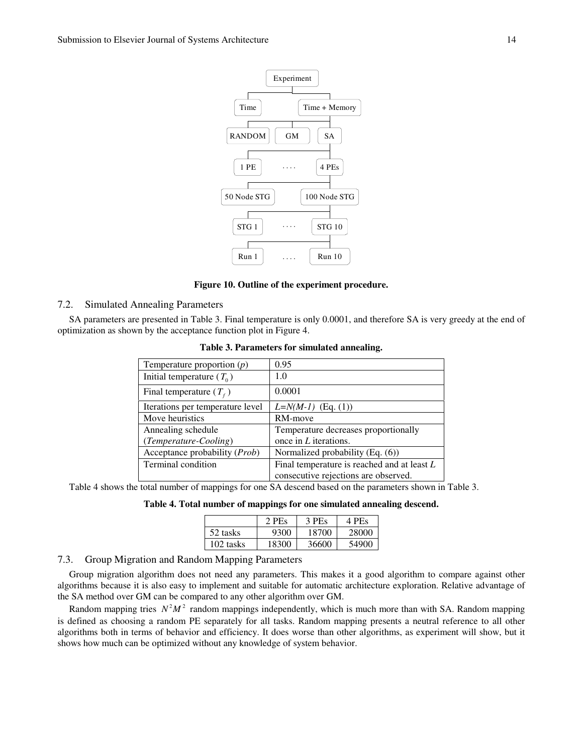

### **Figure 10. Outline of the experiment procedure.**

# 7.2. Simulated Annealing Parameters

SA parameters are presented in Table 3. Final temperature is only 0.0001, and therefore SA is very greedy at the end of optimization as shown by the acceptance function plot in Figure 4.

| Temperature proportion $(p)$     | 0.95                                          |
|----------------------------------|-----------------------------------------------|
| Initial temperature $(T_0)$      | 1.0                                           |
| Final temperature $(T_f)$        | 0.0001                                        |
| Iterations per temperature level | $L=N(M-1)$ (Eq. (1))                          |
| Move heuristics                  | RM-move                                       |
| Annealing schedule               | Temperature decreases proportionally          |
| (Temperature-Cooling)            | once in $L$ iterations.                       |
| Acceptance probability (Prob)    | Normalized probability (Eq. (6))              |
| Terminal condition               | Final temperature is reached and at least $L$ |
|                                  | consecutive rejections are observed.          |

**Table 3. Parameters for simulated annealing.** 

Table 4 shows the total number of mappings for one SA descend based on the parameters shown in Table 3.

**Table 4. Total number of mappings for one simulated annealing descend.** 

|           | 2 PEs | 3 PEs | 4 PEs |
|-----------|-------|-------|-------|
| 52 tasks  | 9300  | 18700 | 28000 |
| 102 tasks | 18300 | 36600 | 54900 |

# 7.3. Group Migration and Random Mapping Parameters

Group migration algorithm does not need any parameters. This makes it a good algorithm to compare against other algorithms because it is also easy to implement and suitable for automatic architecture exploration. Relative advantage of the SA method over GM can be compared to any other algorithm over GM.

Random mapping tries  $N^2M^2$  random mappings independently, which is much more than with SA. Random mapping is defined as choosing a random PE separately for all tasks. Random mapping presents a neutral reference to all other algorithms both in terms of behavior and efficiency. It does worse than other algorithms, as experiment will show, but it shows how much can be optimized without any knowledge of system behavior.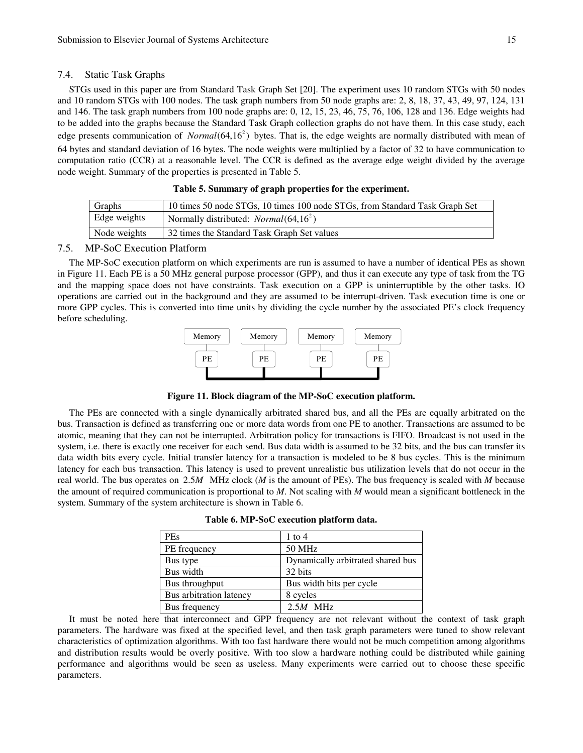### 7.4. Static Task Graphs

STGs used in this paper are from Standard Task Graph Set [20]. The experiment uses 10 random STGs with 50 nodes and 10 random STGs with 100 nodes. The task graph numbers from 50 node graphs are: 2, 8, 18, 37, 43, 49, 97, 124, 131 and 146. The task graph numbers from 100 node graphs are: 0, 12, 15, 23, 46, 75, 76, 106, 128 and 136. Edge weights had to be added into the graphs because the Standard Task Graph collection graphs do not have them. In this case study, each edge presents communication of *Normal*(64,16<sup>2</sup>) bytes. That is, the edge weights are normally distributed with mean of 64 bytes and standard deviation of 16 bytes. The node weights were multiplied by a factor of 32 to have communication to computation ratio (CCR) at a reasonable level. The CCR is defined as the average edge weight divided by the average node weight. Summary of the properties is presented in Table 5.

| Graphs       | 10 times 50 node STGs, 10 times 100 node STGs, from Standard Task Graph Set |
|--------------|-----------------------------------------------------------------------------|
| Edge weights | Normally distributed: <i>Normal</i> ( $64, 16^2$ )                          |
| Node weights | 32 times the Standard Task Graph Set values                                 |

# **Table 5. Summary of graph properties for the experiment.**

## 7.5. MP-SoC Execution Platform

The MP-SoC execution platform on which experiments are run is assumed to have a number of identical PEs as shown in Figure 11. Each PE is a 50 MHz general purpose processor (GPP), and thus it can execute any type of task from the TG and the mapping space does not have constraints. Task execution on a GPP is uninterruptible by the other tasks. IO operations are carried out in the background and they are assumed to be interrupt-driven. Task execution time is one or more GPP cycles. This is converted into time units by dividing the cycle number by the associated PE's clock frequency before scheduling.



**Figure 11. Block diagram of the MP-SoC execution platform.** 

The PEs are connected with a single dynamically arbitrated shared bus, and all the PEs are equally arbitrated on the bus. Transaction is defined as transferring one or more data words from one PE to another. Transactions are assumed to be atomic, meaning that they can not be interrupted. Arbitration policy for transactions is FIFO. Broadcast is not used in the system, i.e. there is exactly one receiver for each send. Bus data width is assumed to be 32 bits, and the bus can transfer its data width bits every cycle. Initial transfer latency for a transaction is modeled to be 8 bus cycles. This is the minimum latency for each bus transaction. This latency is used to prevent unrealistic bus utilization levels that do not occur in the real world. The bus operates on 2.5*M* MHz clock (*M* is the amount of PEs). The bus frequency is scaled with *M* because the amount of required communication is proportional to *M*. Not scaling with *M* would mean a significant bottleneck in the system. Summary of the system architecture is shown in Table 6.

| <b>PEs</b>              | $1$ to $4$                        |
|-------------------------|-----------------------------------|
| PE frequency            | 50 MHz                            |
| Bus type                | Dynamically arbitrated shared bus |
| Bus width               | 32 bits                           |
| Bus throughput          | Bus width bits per cycle          |
| Bus arbitration latency | 8 cycles                          |
| Bus frequency           | $2.5M$ MHz                        |

It must be noted here that interconnect and GPP frequency are not relevant without the context of task graph parameters. The hardware was fixed at the specified level, and then task graph parameters were tuned to show relevant characteristics of optimization algorithms. With too fast hardware there would not be much competition among algorithms and distribution results would be overly positive. With too slow a hardware nothing could be distributed while gaining performance and algorithms would be seen as useless. Many experiments were carried out to choose these specific parameters.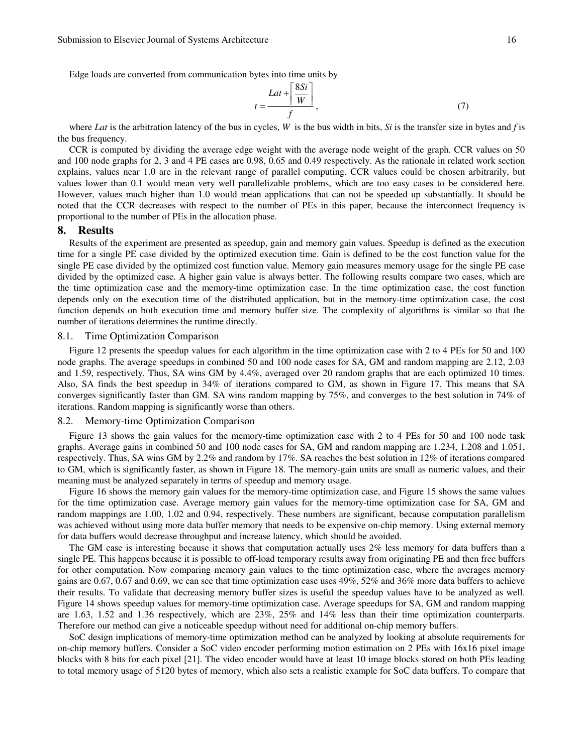Edge loads are converted from communication bytes into time units by

$$
t = \frac{Lat + \left| \frac{8Si}{W} \right|}{f},\tag{7}
$$

where *Lat* is the arbitration latency of the bus in cycles, *W* is the bus width in bits, *Si* is the transfer size in bytes and *f* is the bus frequency.

 $F \circ \sigma \cdot T$ 

CCR is computed by dividing the average edge weight with the average node weight of the graph. CCR values on 50 and 100 node graphs for 2, 3 and 4 PE cases are 0.98, 0.65 and 0.49 respectively. As the rationale in related work section explains, values near 1.0 are in the relevant range of parallel computing. CCR values could be chosen arbitrarily, but values lower than 0.1 would mean very well parallelizable problems, which are too easy cases to be considered here. However, values much higher than 1.0 would mean applications that can not be speeded up substantially. It should be noted that the CCR decreases with respect to the number of PEs in this paper, because the interconnect frequency is proportional to the number of PEs in the allocation phase.

# **8. Results**

Results of the experiment are presented as speedup, gain and memory gain values. Speedup is defined as the execution time for a single PE case divided by the optimized execution time. Gain is defined to be the cost function value for the single PE case divided by the optimized cost function value. Memory gain measures memory usage for the single PE case divided by the optimized case. A higher gain value is always better. The following results compare two cases, which are the time optimization case and the memory-time optimization case. In the time optimization case, the cost function depends only on the execution time of the distributed application, but in the memory-time optimization case, the cost function depends on both execution time and memory buffer size. The complexity of algorithms is similar so that the number of iterations determines the runtime directly.

# 8.1. Time Optimization Comparison

Figure 12 presents the speedup values for each algorithm in the time optimization case with 2 to 4 PEs for 50 and 100 node graphs. The average speedups in combined 50 and 100 node cases for SA, GM and random mapping are 2.12, 2.03 and 1.59, respectively. Thus, SA wins GM by 4.4%, averaged over 20 random graphs that are each optimized 10 times. Also, SA finds the best speedup in 34% of iterations compared to GM, as shown in Figure 17. This means that SA converges significantly faster than GM. SA wins random mapping by 75%, and converges to the best solution in 74% of iterations. Random mapping is significantly worse than others.

### 8.2. Memory-time Optimization Comparison

Figure 13 shows the gain values for the memory-time optimization case with 2 to 4 PEs for 50 and 100 node task graphs. Average gains in combined 50 and 100 node cases for SA, GM and random mapping are 1.234, 1.208 and 1.051, respectively. Thus, SA wins GM by 2.2% and random by 17%. SA reaches the best solution in 12% of iterations compared to GM, which is significantly faster, as shown in Figure 18. The memory-gain units are small as numeric values, and their meaning must be analyzed separately in terms of speedup and memory usage.

Figure 16 shows the memory gain values for the memory-time optimization case, and Figure 15 shows the same values for the time optimization case. Average memory gain values for the memory-time optimization case for SA, GM and random mappings are 1.00, 1.02 and 0.94, respectively. These numbers are significant, because computation parallelism was achieved without using more data buffer memory that needs to be expensive on-chip memory. Using external memory for data buffers would decrease throughput and increase latency, which should be avoided.

The GM case is interesting because it shows that computation actually uses 2% less memory for data buffers than a single PE. This happens because it is possible to off-load temporary results away from originating PE and then free buffers for other computation. Now comparing memory gain values to the time optimization case, where the averages memory gains are 0.67, 0.67 and 0.69, we can see that time optimization case uses 49%, 52% and 36% more data buffers to achieve their results. To validate that decreasing memory buffer sizes is useful the speedup values have to be analyzed as well. Figure 14 shows speedup values for memory-time optimization case. Average speedups for SA, GM and random mapping are 1.63, 1.52 and 1.36 respectively, which are 23%, 25% and 14% less than their time optimization counterparts. Therefore our method can give a noticeable speedup without need for additional on-chip memory buffers.

SoC design implications of memory-time optimization method can be analyzed by looking at absolute requirements for on-chip memory buffers. Consider a SoC video encoder performing motion estimation on 2 PEs with 16x16 pixel image blocks with 8 bits for each pixel [21]. The video encoder would have at least 10 image blocks stored on both PEs leading to total memory usage of 5120 bytes of memory, which also sets a realistic example for SoC data buffers. To compare that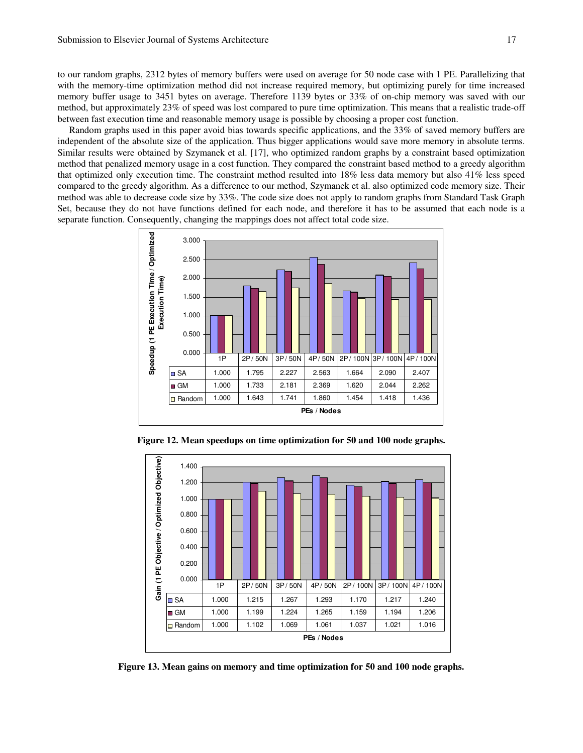to our random graphs, 2312 bytes of memory buffers were used on average for 50 node case with 1 PE. Parallelizing that with the memory-time optimization method did not increase required memory, but optimizing purely for time increased memory buffer usage to 3451 bytes on average. Therefore 1139 bytes or 33% of on-chip memory was saved with our method, but approximately 23% of speed was lost compared to pure time optimization. This means that a realistic trade-off between fast execution time and reasonable memory usage is possible by choosing a proper cost function.

Random graphs used in this paper avoid bias towards specific applications, and the 33% of saved memory buffers are independent of the absolute size of the application. Thus bigger applications would save more memory in absolute terms. Similar results were obtained by Szymanek et al. [17], who optimized random graphs by a constraint based optimization method that penalized memory usage in a cost function. They compared the constraint based method to a greedy algorithm that optimized only execution time. The constraint method resulted into 18% less data memory but also 41% less speed compared to the greedy algorithm. As a difference to our method, Szymanek et al. also optimized code memory size. Their method was able to decrease code size by 33%. The code size does not apply to random graphs from Standard Task Graph Set, because they do not have functions defined for each node, and therefore it has to be assumed that each node is a separate function. Consequently, changing the mappings does not affect total code size.



**Figure 12. Mean speedups on time optimization for 50 and 100 node graphs.**



**Figure 13. Mean gains on memory and time optimization for 50 and 100 node graphs.**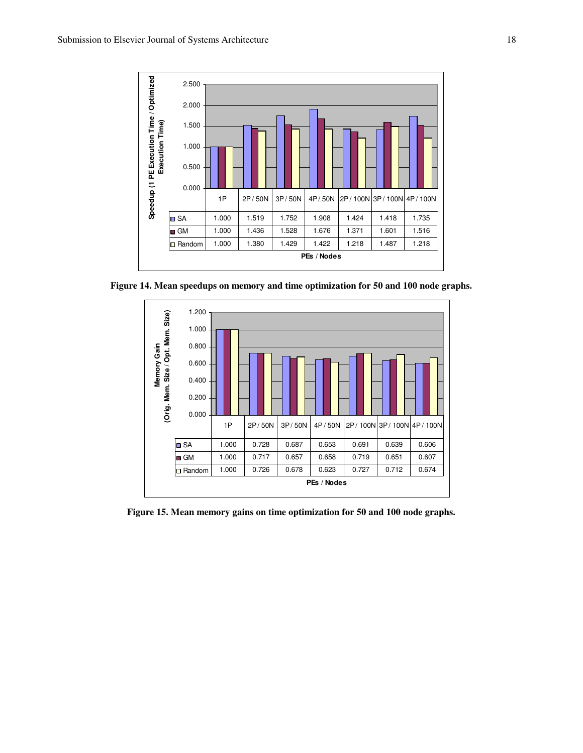

**Figure 14. Mean speedups on memory and time optimization for 50 and 100 node graphs.** 



**Figure 15. Mean memory gains on time optimization for 50 and 100 node graphs.**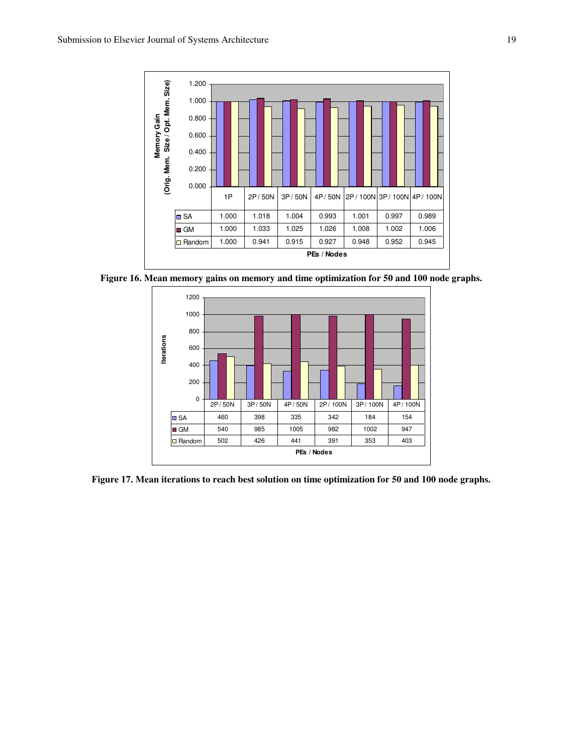

**Figure 16. Mean memory gains on memory and time optimization for 50 and 100 node graphs.** 



**Figure 17. Mean iterations to reach best solution on time optimization for 50 and 100 node graphs.**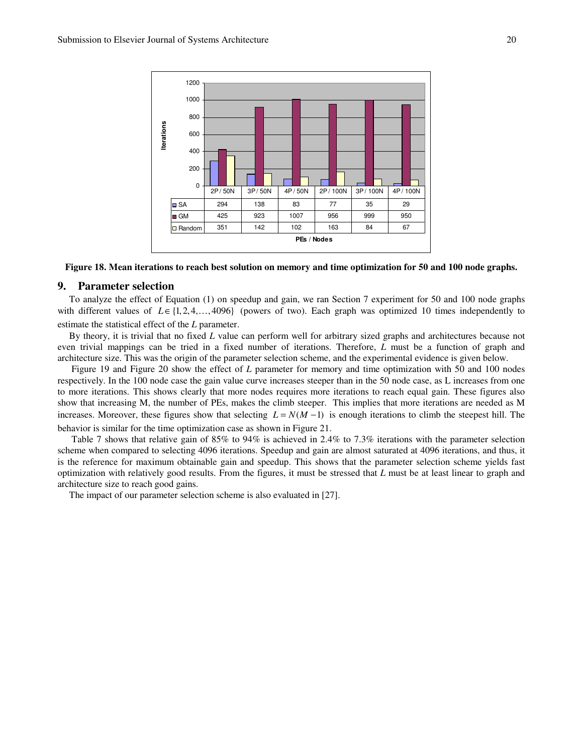

**Figure 18. Mean iterations to reach best solution on memory and time optimization for 50 and 100 node graphs.** 

# **9. Parameter selection**

To analyze the effect of Equation (1) on speedup and gain, we ran Section 7 experiment for 50 and 100 node graphs with different values of  $L \in \{1, 2, 4, \ldots, 4096\}$  (powers of two). Each graph was optimized 10 times independently to estimate the statistical effect of the *L* parameter.

By theory, it is trivial that no fixed *L* value can perform well for arbitrary sized graphs and architectures because not even trivial mappings can be tried in a fixed number of iterations. Therefore, *L* must be a function of graph and architecture size. This was the origin of the parameter selection scheme, and the experimental evidence is given below.

 Figure 19 and Figure 20 show the effect of *L* parameter for memory and time optimization with 50 and 100 nodes respectively. In the 100 node case the gain value curve increases steeper than in the 50 node case, as L increases from one to more iterations. This shows clearly that more nodes requires more iterations to reach equal gain. These figures also show that increasing M, the number of PEs, makes the climb steeper. This implies that more iterations are needed as M increases. Moreover, these figures show that selecting  $L = N(M - 1)$  is enough iterations to climb the steepest hill. The behavior is similar for the time optimization case as shown in Figure 21.

 Table 7 shows that relative gain of 85% to 94% is achieved in 2.4% to 7.3% iterations with the parameter selection scheme when compared to selecting 4096 iterations. Speedup and gain are almost saturated at 4096 iterations, and thus, it is the reference for maximum obtainable gain and speedup. This shows that the parameter selection scheme yields fast optimization with relatively good results. From the figures, it must be stressed that *L* must be at least linear to graph and architecture size to reach good gains.

The impact of our parameter selection scheme is also evaluated in [27].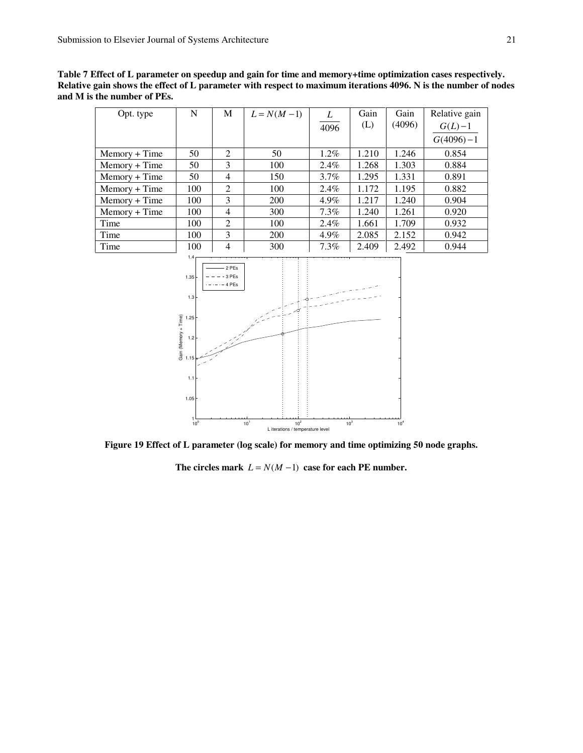**Table 7 Effect of L parameter on speedup and gain for time and memory+time optimization cases respectively. Relative gain shows the effect of L parameter with respect to maximum iterations 4096. N is the number of nodes and M is the number of PEs.** 

| Opt. type       | N   | М              | $L = N(M-1)$ |         | Gain  | Gain   | Relative gain |
|-----------------|-----|----------------|--------------|---------|-------|--------|---------------|
|                 |     |                |              | 4096    | (L)   | (4096) | $G(L)-1$      |
|                 |     |                |              |         |       |        | $G(4096)-1$   |
| $Memory + Time$ | 50  | 2              | 50           | $1.2\%$ | 1.210 | 1.246  | 0.854         |
| Memory + Time   | 50  | 3              | 100          | $2.4\%$ | 1.268 | 1.303  | 0.884         |
| $Memory + Time$ | 50  | $\overline{4}$ | 150          | $3.7\%$ | 1.295 | 1.331  | 0.891         |
| $Memory + Time$ | 100 | 2              | 100          | $2.4\%$ | 1.172 | 1.195  | 0.882         |
| $Memory + Time$ | 100 | 3              | 200          | 4.9%    | 1.217 | 1.240  | 0.904         |
| $Memory + Time$ | 100 | 4              | 300          | $7.3\%$ | 1.240 | 1.261  | 0.920         |
| Time            | 100 | 2              | 100          | $2.4\%$ | 1.661 | 1.709  | 0.932         |
| Time            | 100 | 3              | 200          | 4.9%    | 2.085 | 2.152  | 0.942         |
| Time            | 100 | $\overline{4}$ | 300          | $7.3\%$ | 2.409 | 2.492  | 0.944         |



**Figure 19 Effect of L parameter (log scale) for memory and time optimizing 50 node graphs.** 

The circles mark  $L = N(M - 1)$  case for each PE number.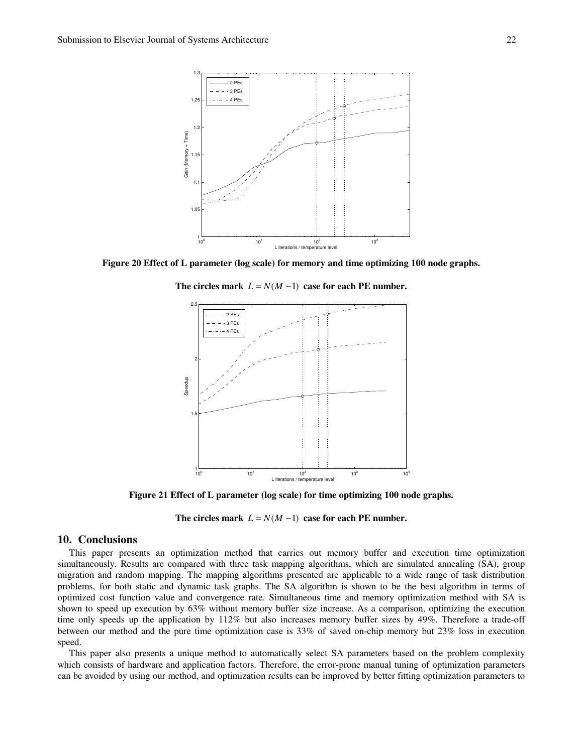

**Figure 20 Effect of L parameter (log scale) for memory and time optimizing 100 node graphs.** 

The circles mark  $L = N(M - 1)$  case for each PE number.



**Figure 21 Effect of L parameter (log scale) for time optimizing 100 node graphs.** 

The circles mark  $L = N(M - 1)$  case for each PE number.

# **10. Conclusions**

This paper presents an optimization method that carries out memory buffer and execution time optimization simultaneously. Results are compared with three task mapping algorithms, which are simulated annealing (SA), group migration and random mapping. The mapping algorithms presented are applicable to a wide range of task distribution problems, for both static and dynamic task graphs. The SA algorithm is shown to be the best algorithm in terms of optimized cost function value and convergence rate. Simultaneous time and memory optimization method with SA is shown to speed up execution by 63% without memory buffer size increase. As a comparison, optimizing the execution time only speeds up the application by 112% but also increases memory buffer sizes by 49%. Therefore a trade-off between our method and the pure time optimization case is 33% of saved on-chip memory but 23% loss in execution speed.

This paper also presents a unique method to automatically select SA parameters based on the problem complexity which consists of hardware and application factors. Therefore, the error-prone manual tuning of optimization parameters can be avoided by using our method, and optimization results can be improved by better fitting optimization parameters to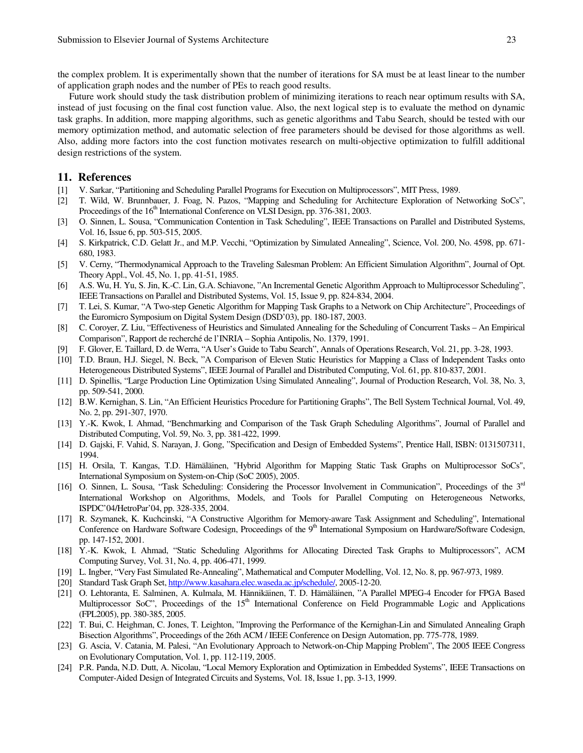the complex problem. It is experimentally shown that the number of iterations for SA must be at least linear to the number of application graph nodes and the number of PEs to reach good results.

Future work should study the task distribution problem of minimizing iterations to reach near optimum results with SA, instead of just focusing on the final cost function value. Also, the next logical step is to evaluate the method on dynamic task graphs. In addition, more mapping algorithms, such as genetic algorithms and Tabu Search, should be tested with our memory optimization method, and automatic selection of free parameters should be devised for those algorithms as well. Also, adding more factors into the cost function motivates research on multi-objective optimization to fulfill additional design restrictions of the system.

# **11. References**

- [1] V. Sarkar, "Partitioning and Scheduling Parallel Programs for Execution on Multiprocessors", MIT Press, 1989.
- [2] T. Wild, W. Brunnbauer, J. Foag, N. Pazos, "Mapping and Scheduling for Architecture Exploration of Networking SoCs", Proceedings of the 16<sup>th</sup> International Conference on VLSI Design, pp. 376-381, 2003.
- [3] O. Sinnen, L. Sousa, "Communication Contention in Task Scheduling", IEEE Transactions on Parallel and Distributed Systems, Vol. 16, Issue 6, pp. 503-515, 2005.
- [4] S. Kirkpatrick, C.D. Gelatt Jr., and M.P. Vecchi, "Optimization by Simulated Annealing", Science, Vol. 200, No. 4598, pp. 671- 680, 1983.
- [5] V. Cerny, "Thermodynamical Approach to the Traveling Salesman Problem: An Efficient Simulation Algorithm", Journal of Opt. Theory Appl., Vol. 45, No. 1, pp. 41-51, 1985.
- [6] A.S. Wu, H. Yu, S. Jin, K.-C. Lin, G.A. Schiavone, "An Incremental Genetic Algorithm Approach to Multiprocessor Scheduling", IEEE Transactions on Parallel and Distributed Systems, Vol. 15, Issue 9, pp. 824-834, 2004.
- [7] T. Lei, S. Kumar, "A Two-step Genetic Algorithm for Mapping Task Graphs to a Network on Chip Architecture", Proceedings of the Euromicro Symposium on Digital System Design (DSD'03), pp. 180-187, 2003.
- [8] C. Coroyer, Z. Liu, "Effectiveness of Heuristics and Simulated Annealing for the Scheduling of Concurrent Tasks An Empirical Comparison", Rapport de recherché de l'INRIA – Sophia Antipolis, No. 1379, 1991.
- [9] F. Glover, E. Taillard, D. de Werra, "A User's Guide to Tabu Search", Annals of Operations Research, Vol. 21, pp. 3-28, 1993.
- [10] T.D. Braun, H.J. Siegel, N. Beck, "A Comparison of Eleven Static Heuristics for Mapping a Class of Independent Tasks onto Heterogeneous Distributed Systems", IEEE Journal of Parallel and Distributed Computing, Vol. 61, pp. 810-837, 2001.
- [11] D. Spinellis, "Large Production Line Optimization Using Simulated Annealing", Journal of Production Research, Vol. 38, No. 3, pp. 509-541, 2000.
- [12] B.W. Kernighan, S. Lin, "An Efficient Heuristics Procedure for Partitioning Graphs", The Bell System Technical Journal, Vol. 49, No. 2, pp. 291-307, 1970.
- [13] Y.-K. Kwok, I. Ahmad, "Benchmarking and Comparison of the Task Graph Scheduling Algorithms", Journal of Parallel and Distributed Computing, Vol. 59, No. 3, pp. 381-422, 1999.
- [14] D. Gajski, F. Vahid, S. Narayan, J. Gong, "Specification and Design of Embedded Systems", Prentice Hall, ISBN: 0131507311, 1994.
- [15] H. Orsila, T. Kangas, T.D. Hämäläinen, "Hybrid Algorithm for Mapping Static Task Graphs on Multiprocessor SoCs", International Symposium on System-on-Chip (SoC 2005), 2005.
- [16] O. Sinnen, L. Sousa, "Task Scheduling: Considering the Processor Involvement in Communication", Proceedings of the 3<sup>rd</sup> International Workshop on Algorithms, Models, and Tools for Parallel Computing on Heterogeneous Networks, ISPDC'04/HetroPar'04, pp. 328-335, 2004.
- [17] R. Szymanek, K. Kuchcinski, "A Constructive Algorithm for Memory-aware Task Assignment and Scheduling", International Conference on Hardware Software Codesign, Proceedings of the 9<sup>th</sup> International Symposium on Hardware/Software Codesign, pp. 147-152, 2001.
- [18] Y.-K. Kwok, I. Ahmad, "Static Scheduling Algorithms for Allocating Directed Task Graphs to Multiprocessors", ACM Computing Survey, Vol. 31, No. 4, pp. 406-471, 1999.
- [19] L. Ingber, "Very Fast Simulated Re-Annealing", Mathematical and Computer Modelling, Vol. 12, No. 8, pp. 967-973, 1989.
- [20] Standard Task Graph Set, http://www.kasahara.elec.waseda.ac.jp/schedule/, 2005-12-20.
- [21] O. Lehtoranta, E. Salminen, A. Kulmala, M. Hännikäinen, T. D. Hämäläinen, "A Parallel MPEG-4 Encoder for FPGA Based Multiprocessor SoC", Proceedings of the  $15<sup>th</sup>$  International Conference on Field Programmable Logic and Applications (FPL2005), pp. 380-385, 2005.
- [22] T. Bui, C. Heighman, C. Jones, T. Leighton, "Improving the Performance of the Kernighan-Lin and Simulated Annealing Graph Bisection Algorithms", Proceedings of the 26th ACM / IEEE Conference on Design Automation, pp. 775-778, 1989.
- [23] G. Ascia, V. Catania, M. Palesi, "An Evolutionary Approach to Network-on-Chip Mapping Problem", The 2005 IEEE Congress on Evolutionary Computation, Vol. 1, pp. 112-119, 2005.
- [24] P.R. Panda, N.D. Dutt, A. Nicolau, "Local Memory Exploration and Optimization in Embedded Systems", IEEE Transactions on Computer-Aided Design of Integrated Circuits and Systems, Vol. 18, Issue 1, pp. 3-13, 1999.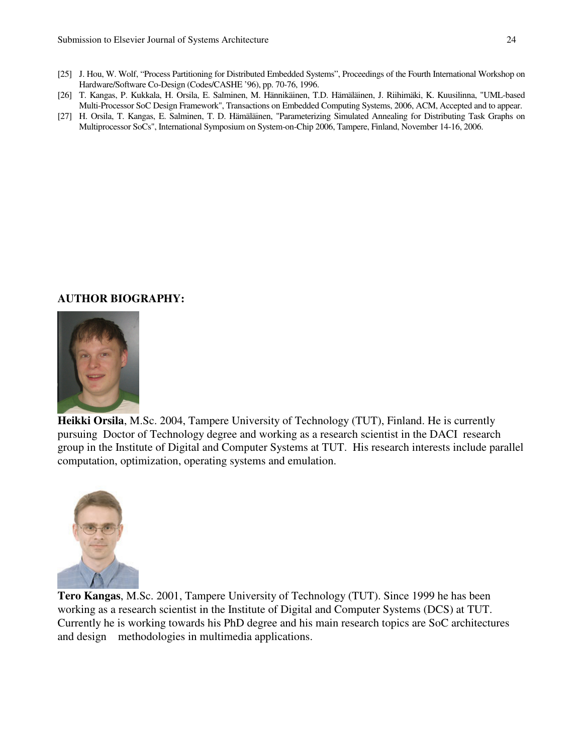- [25] J. Hou, W. Wolf, "Process Partitioning for Distributed Embedded Systems", Proceedings of the Fourth International Workshop on Hardware/Software Co-Design (Codes/CASHE '96), pp. 70-76, 1996.
- [26] T. Kangas, P. Kukkala, H. Orsila, E. Salminen, M. Hännikäinen, T.D. Hämäläinen, J. Riihimäki, K. Kuusilinna, "UML-based Multi-Processor SoC Design Framework", Transactions on Embedded Computing Systems, 2006, ACM, Accepted and to appear.
- [27] H. Orsila, T. Kangas, E. Salminen, T. D. Hämäläinen, "Parameterizing Simulated Annealing for Distributing Task Graphs on Multiprocessor SoCs", International Symposium on System-on-Chip 2006, Tampere, Finland, November 14-16, 2006.

# **AUTHOR BIOGRAPHY:**



**Heikki Orsila**, M.Sc. 2004, Tampere University of Technology (TUT), Finland. He is currently pursuing Doctor of Technology degree and working as a research scientist in the DACI research group in the Institute of Digital and Computer Systems at TUT. His research interests include parallel computation, optimization, operating systems and emulation.



**Tero Kangas**, M.Sc. 2001, Tampere University of Technology (TUT). Since 1999 he has been working as a research scientist in the Institute of Digital and Computer Systems (DCS) at TUT. Currently he is working towards his PhD degree and his main research topics are SoC architectures and design methodologies in multimedia applications.